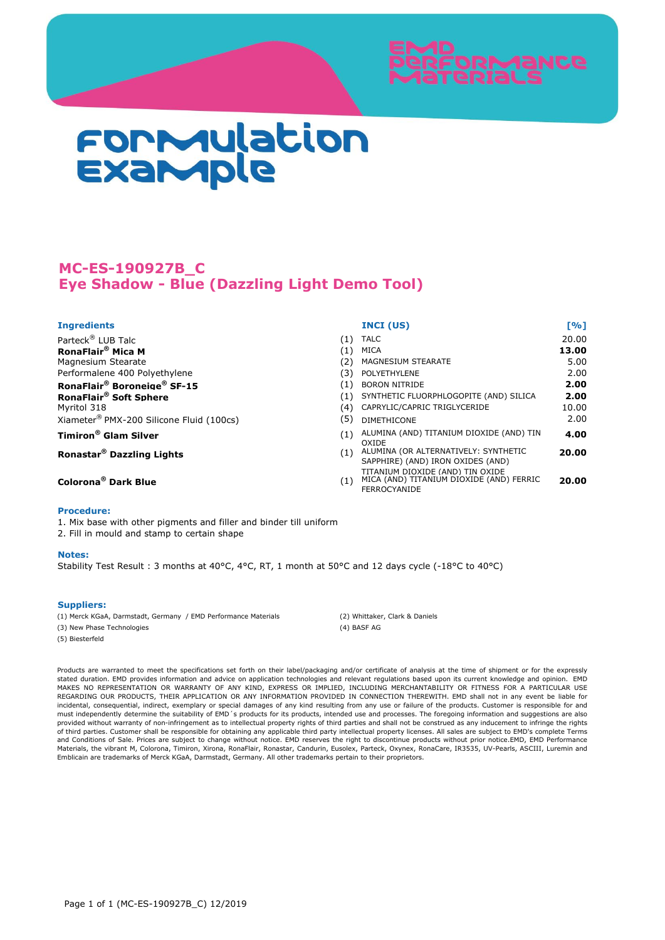# **MC-ES-190927B\_C Eye Shadow - Blue (Dazzling Light Demo Tool)**

| <b>Ingredients</b>                                   |     | INCI (US)                                                                                           | $\Gamma$ %1 |
|------------------------------------------------------|-----|-----------------------------------------------------------------------------------------------------|-------------|
| Parteck <sup>®</sup> LUB Talc                        | (1) | <b>TALC</b>                                                                                         | 20.00       |
| RonaFlair <sup>®</sup> Mica M                        | (1) | MICA                                                                                                | 13.00       |
| Magnesium Stearate                                   | (2) | MAGNESIUM STEARATE                                                                                  | 5.00        |
| Performalene 400 Polyethylene                        | (3) | POLYETHYLENE                                                                                        | 2.00        |
| RonaFlair® Boroneige® SF-15                          | (1) | <b>BORON NITRIDE</b>                                                                                | 2.00        |
| <b>RonaFlair<sup>®</sup> Soft Sphere</b>             | (1) | SYNTHETIC FLUORPHLOGOPITE (AND) SILICA                                                              | 2.00        |
| Myritol 318                                          | (4) | CAPRYLIC/CAPRIC TRIGLYCERIDE                                                                        | 10.00       |
| Xiameter <sup>®</sup> PMX-200 Silicone Fluid (100cs) | (5) | <b>DIMETHICONE</b>                                                                                  | 2.00        |
| <b>Timiron<sup>®</sup> Glam Silver</b>               | (1) | ALUMINA (AND) TITANIUM DIOXIDE (AND) TIN<br>OXIDE                                                   | 4.00        |
| Ronastar <sup>®</sup> Dazzling Lights                | (1) | ALUMINA (OR ALTERNATIVELY: SYNTHETIC<br>SAPPHIRE) (AND) IRON OXIDES (AND)                           | 20.00       |
| <b>Colorona<sup>®</sup> Dark Blue</b>                | (1) | TITANIUM DIOXIDE (AND) TIN OXIDE<br>MICA (AND) TITANIUM DIOXIDE (AND) FERRIC<br><b>FFRROCYANIDE</b> | 20.00       |

## **Procedure:**

- 1. Mix base with other pigments and filler and binder till uniform
- 2. Fill in mould and stamp to certain shape

## **Notes:**

Stability Test Result : 3 months at 40°C, 4°C, RT, 1 month at 50°C and 12 days cycle (-18°C to 40°C)

## **Suppliers:**

- (1) Merck KGaA, Darmstadt, Germany / EMD Performance Materials (2) Whittaker, Clark & Daniels
- (3) New Phase Technologies (4) BASF AG
- (5) Biesterfeld

Products are warranted to meet the specifications set forth on their label/packaging and/or certificate of analysis at the time of shipment or for the expressly stated duration. EMD provides information and advice on application technologies and relevant regulations based upon its current knowledge and opinion. EMD MAKES NO REPRESENTATION OR WARRANTY OF ANY KIND, EXPRESS OR IMPLIED, INCLUDING MERCHANTABILITY OR FITNESS FOR A PARTICULAR USE<br>REGARDING OUR PRODUCTS, THEIR APPLICATION OR ANY INFORMATION PROVIDED IN CONNECTION THEREWITH. incidental, consequential, indirect, exemplary or special damages of any kind resulting from any use or failure of the products. Customer is responsible for and must independently determine the suitability of EMD´s products for its products, intended use and processes. The foregoing information and suggestions are also provided without warranty of non-infringement as to intellectual property rights of third parties and shall not be construed as any inducement to infringe the rights of third parties. Customer shall be responsible for obtaining any applicable third party intellectual property licenses. All sales are subject to EMD's complete Terms and Conditions of Sale. Prices are subject to change without notice. EMD reserves the right to discontinue products without prior notice.EMD, EMD Performance Materials, the vibrant M, Colorona, Timiron, Xirona, RonaFlair, Ronastar, Candurin, Eusolex, Parteck, Oxynex, RonaCare, IR3535, UV-Pearls, ASCIII, Luremin and Emblicain are trademarks of Merck KGaA, Darmstadt, Germany. All other trademarks pertain to their proprietors.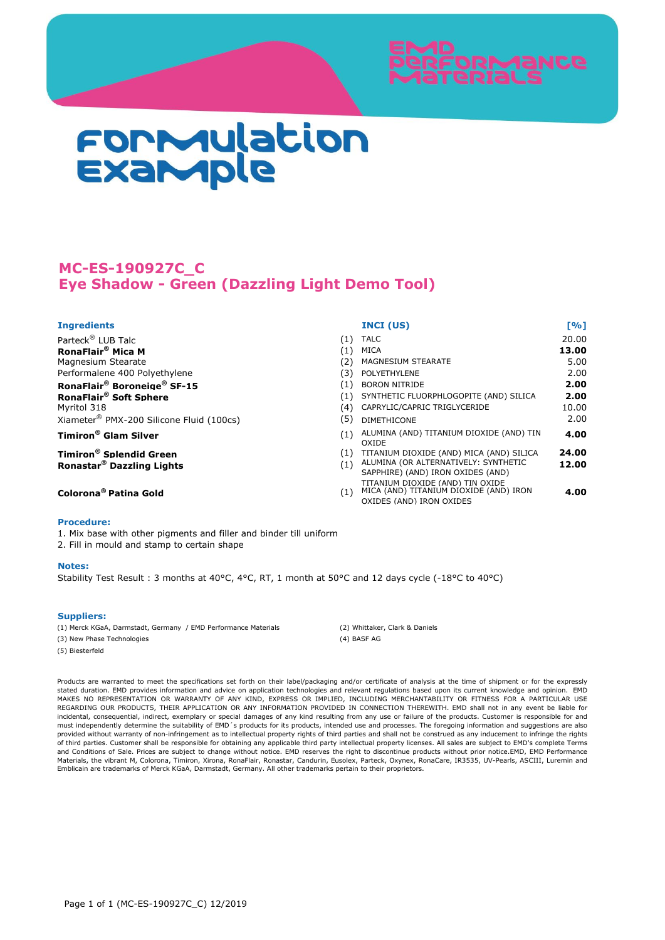

# **MC-ES-190927C\_C Eye Shadow - Green (Dazzling Light Demo Tool)**

| <b>Ingredients</b>                                   |     | INCI (US)                                                                  | $\Gamma$ %1 |
|------------------------------------------------------|-----|----------------------------------------------------------------------------|-------------|
| Parteck <sup>®</sup> LUB Talc                        | (1) | <b>TALC</b>                                                                | 20.00       |
| RonaFlair <sup>®</sup> Mica M                        | (1) | <b>MICA</b>                                                                | 13.00       |
| Magnesium Stearate                                   | (2) | MAGNESIUM STEARATE                                                         | 5.00        |
| Performalene 400 Polyethylene                        | (3) | POLYETHYLENE                                                               | 2.00        |
| RonaFlair® Boroneige® SF-15                          | (1) | <b>BORON NITRIDE</b>                                                       | 2.00        |
| RonaFlair <sup>®</sup> Soft Sphere                   | (1) | SYNTHETIC FLUORPHLOGOPITE (AND) SILICA                                     | 2.00        |
| Myritol 318                                          | (4) | CAPRYLIC/CAPRIC TRIGLYCERIDE                                               | 10.00       |
| Xiameter <sup>®</sup> PMX-200 Silicone Fluid (100cs) | (5) | <b>DIMETHICONE</b>                                                         | 2.00        |
| <b>Timiron<sup>®</sup> Glam Silver</b>               | (1) | ALUMINA (AND) TITANIUM DIOXIDE (AND) TIN<br>OXIDE                          | 4.00        |
| Timiron® Splendid Green                              | (1) | TITANIUM DIOXIDE (AND) MICA (AND) SILICA                                   | 24.00       |
| Ronastar <sup>®</sup> Dazzling Lights                | (1) | ALUMINA (OR ALTERNATIVELY: SYNTHETIC                                       | 12.00       |
|                                                      |     | SAPPHIRE) (AND) IRON OXIDES (AND)                                          |             |
| Colorona <sup>®</sup> Patina Gold                    |     | TITANIUM DIOXIDE (AND) TIN OXIDE<br>MICA (AND) TITANIUM DIOXIDE (AND) IRON |             |
|                                                      | (1) | OXIDES (AND) IRON OXIDES                                                   | 4.00        |

## **Procedure:**

1. Mix base with other pigments and filler and binder till uniform

2. Fill in mould and stamp to certain shape

## **Notes:**

Stability Test Result : 3 months at 40°C, 4°C, RT, 1 month at 50°C and 12 days cycle (-18°C to 40°C)

## **Suppliers:**

(1) Merck KGaA, Darmstadt, Germany / EMD Performance Materials (2) Whittaker, Clark & Daniels

(3) New Phase Technologies (4) BASF AG

(5) Biesterfeld

Products are warranted to meet the specifications set forth on their label/packaging and/or certificate of analysis at the time of shipment or for the expressly stated duration. EMD provides information and advice on application technologies and relevant regulations based upon its current knowledge and opinion. EMD<br>MAKES NO REPRESENTATION OR WARRANTY OF ANY KIND, EXPRESS OR IMPLI REGARDING OUR PRODUCTS, THEIR APPLICATION OR ANY INFORMATION PROVIDED IN CONNECTION THEREWITH. EMD shall not in any event be liable for incidental, consequential, indirect, exemplary or special damages of any kind resulting from any use or failure of the products. Customer is responsible for and must independently determine the suitability of EMD´s products for its products, intended use and processes. The foregoing information and suggestions are also provided without warranty of non-infringement as to intellectual property rights of third parties and shall not be construed as any inducement to infringe the rights<br>of third parties. Customer shall be responsible for obta and Conditions of Sale. Prices are subject to change without notice. EMD reserves the right to discontinue products without prior notice.EMD, EMD Performance Materials, the vibrant M, Colorona, Timiron, Xirona, RonaFlair, Ronastar, Candurin, Eusolex, Parteck, Oxynex, RonaCare, IR3535, UV-Pearls, ASCIII, Luremin and Emblicain are trademarks of Merck KGaA, Darmstadt, Germany. All other trademarks pertain to their proprietors.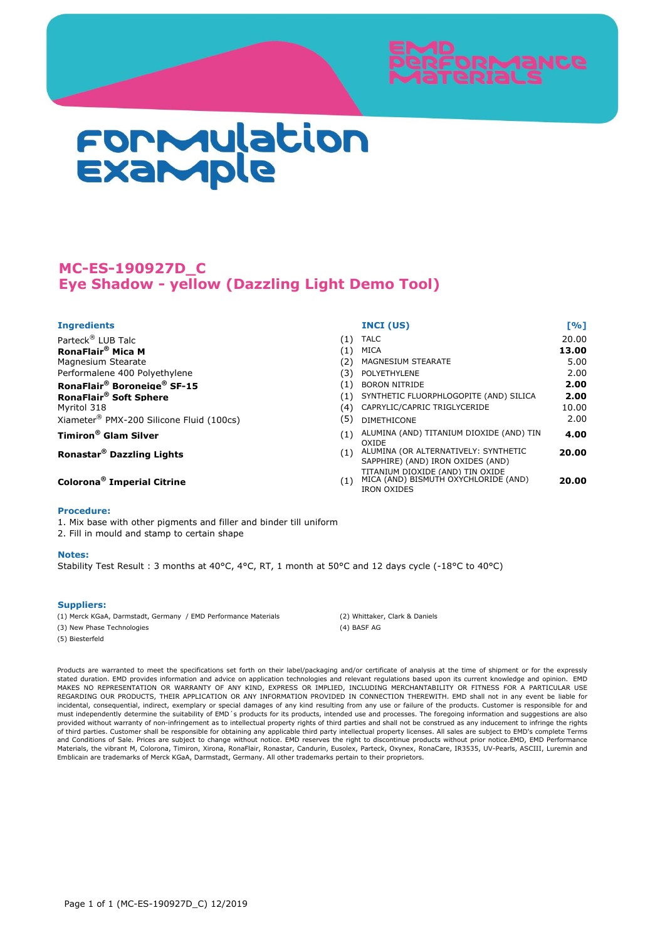# **MC-ES-190927D\_C Eye Shadow - yellow (Dazzling Light Demo Tool)**

| <b>Ingredients</b>                                   |     | INCI (US)                                                                                      | $\Gamma$ %1 |
|------------------------------------------------------|-----|------------------------------------------------------------------------------------------------|-------------|
| Parteck <sup>®</sup> LUB Talc                        | (1) | <b>TALC</b>                                                                                    | 20.00       |
| RonaFlair <sup>®</sup> Mica M                        | (1) | MICA                                                                                           | 13.00       |
| Magnesium Stearate                                   | (2) | MAGNESIUM STEARATE                                                                             | 5.00        |
| Performalene 400 Polyethylene                        | (3) | POLYETHYLENE                                                                                   | 2.00        |
| RonaFlair <sup>®</sup> Boroneige <sup>®</sup> SF-15  | (1) | <b>BORON NITRIDE</b>                                                                           | 2.00        |
| <b>RonaFlair<sup>®</sup> Soft Sphere</b>             | (1) | SYNTHETIC FLUORPHLOGOPITE (AND) SILICA                                                         | 2.00        |
| Myritol 318                                          | (4) | CAPRYLIC/CAPRIC TRIGLYCERIDE                                                                   | 10.00       |
| Xiameter <sup>®</sup> PMX-200 Silicone Fluid (100cs) | (5) | <b>DIMETHICONE</b>                                                                             | 2.00        |
| <b>Timiron<sup>®</sup> Glam Silver</b>               | (1) | ALUMINA (AND) TITANIUM DIOXIDE (AND) TIN<br>OXIDE                                              | 4.00        |
| Ronastar <sup>®</sup> Dazzling Lights                | (1) | ALUMINA (OR ALTERNATIVELY: SYNTHETIC<br>SAPPHIRE) (AND) IRON OXIDES (AND)                      | 20.00       |
| Colorona <sup>®</sup> Imperial Citrine               | (1) | TITANIUM DIOXIDE (AND) TIN OXIDE<br>MICA (AND) BISMUTH OXYCHLORIDE (AND)<br><b>IRON OXIDES</b> | 20.00       |

## **Procedure:**

- 1. Mix base with other pigments and filler and binder till uniform
- 2. Fill in mould and stamp to certain shape

## **Notes:**

Stability Test Result : 3 months at 40°C, 4°C, RT, 1 month at 50°C and 12 days cycle (-18°C to 40°C)

## **Suppliers:**

- (1) Merck KGaA, Darmstadt, Germany / EMD Performance Materials (2) Whittaker, Clark & Daniels
- (3) New Phase Technologies (4) BASF AG
- (5) Biesterfeld

Products are warranted to meet the specifications set forth on their label/packaging and/or certificate of analysis at the time of shipment or for the expressly stated duration. EMD provides information and advice on application technologies and relevant regulations based upon its current knowledge and opinion. EMD MAKES NO REPRESENTATION OR WARRANTY OF ANY KIND, EXPRESS OR IMPLIED, INCLUDING MERCHANTABILITY OR FITNESS FOR A PARTICULAR USE<br>REGARDING OUR PRODUCTS, THEIR APPLICATION OR ANY INFORMATION PROVIDED IN CONNECTION THEREWITH. incidental, consequential, indirect, exemplary or special damages of any kind resulting from any use or failure of the products. Customer is responsible for and must independently determine the suitability of EMD´s products for its products, intended use and processes. The foregoing information and suggestions are also provided without warranty of non-infringement as to intellectual property rights of third parties and shall not be construed as any inducement to infringe the rights of third parties. Customer shall be responsible for obtaining any applicable third party intellectual property licenses. All sales are subject to EMD's complete Terms and Conditions of Sale. Prices are subject to change without notice. EMD reserves the right to discontinue products without prior notice.EMD, EMD Performance Materials, the vibrant M, Colorona, Timiron, Xirona, RonaFlair, Ronastar, Candurin, Eusolex, Parteck, Oxynex, RonaCare, IR3535, UV-Pearls, ASCIII, Luremin and Emblicain are trademarks of Merck KGaA, Darmstadt, Germany. All other trademarks pertain to their proprietors.